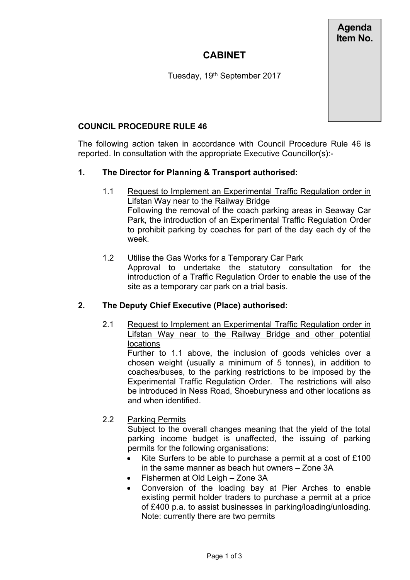**Agenda Item No.**

# **CABINET**

Tuesday, 19<sup>th</sup> September 2017

#### **COUNCIL PROCEDURE RULE 46**

The following action taken in accordance with Council Procedure Rule 46 is reported. In consultation with the appropriate Executive Councillor(s):-

#### **1. The Director for Planning & Transport authorised:**

- 1.1 Request to Implement an Experimental Traffic Regulation order in Lifstan Way near to the Railway Bridge Following the removal of the coach parking areas in Seaway Car Park, the introduction of an Experimental Traffic Regulation Order to prohibit parking by coaches for part of the day each dy of the week.
- 1.2 Utilise the Gas Works for a Temporary Car Park Approval to undertake the statutory consultation for the introduction of a Traffic Regulation Order to enable the use of the site as a temporary car park on a trial basis.

#### **2. The Deputy Chief Executive (Place) authorised:**

2.1 Request to Implement an Experimental Traffic Regulation order in Lifstan Way near to the Railway Bridge and other potential **locations** 

Further to 1.1 above, the inclusion of goods vehicles over a chosen weight (usually a minimum of 5 tonnes), in addition to coaches/buses, to the parking restrictions to be imposed by the Experimental Traffic Regulation Order. The restrictions will also be introduced in Ness Road, Shoeburyness and other locations as and when identified.

2.2 Parking Permits

Subject to the overall changes meaning that the yield of the total parking income budget is unaffected, the issuing of parking permits for the following organisations:

- Kite Surfers to be able to purchase a permit at a cost of £100 in the same manner as beach hut owners – Zone 3A
- Fishermen at Old Leigh Zone 3A
- Conversion of the loading bay at Pier Arches to enable existing permit holder traders to purchase a permit at a price of £400 p.a. to assist businesses in parking/loading/unloading. Note: currently there are two permits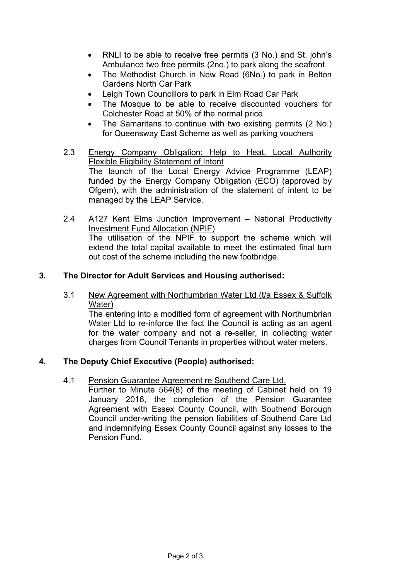- RNLI to be able to receive free permits (3 No.) and St. john's Ambulance two free permits (2no.) to park along the seafront
- The Methodist Church in New Road (6No.) to park in Belton Gardens North Car Park
- Leigh Town Councillors to park in Elm Road Car Park
- The Mosque to be able to receive discounted vouchers for Colchester Road at 50% of the normal price
- The Samaritans to continue with two existing permits (2 No.) for Queensway East Scheme as well as parking vouchers
- 2.3 Energy Company Obligation: Help to Heat, Local Authority Flexible Eligibility Statement of Intent The launch of the Local Energy Advice Programme (LEAP) funded by the Energy Company Obligation (ECO) (approved by Ofgem), with the administration of the statement of intent to be managed by the LEAP Service.
- 2.4 A127 Kent Elms Junction Improvement National Productivity Investment Fund Allocation (NPIF) The utilisation of the NPIF to support the scheme which will extend the total capital available to meet the estimated final turn out cost of the scheme including the new footbridge.

#### **3. The Director for Adult Services and Housing authorised:**

3.1 New Agreement with Northumbrian Water Ltd (t/a Essex & Suffolk Water)

The entering into a modified form of agreement with Northumbrian Water Ltd to re-inforce the fact the Council is acting as an agent for the water company and not a re-seller, in collecting water charges from Council Tenants in properties without water meters.

## **4. The Deputy Chief Executive (People) authorised:**

4.1 Pension Guarantee Agreement re Southend Care Ltd.

Further to Minute 564(8) of the meeting of Cabinet held on 19 January 2016, the completion of the Pension Guarantee Agreement with Essex County Council, with Southend Borough Council under-writing the pension liabilities of Southend Care Ltd and indemnifying Essex County Council against any losses to the Pension Fund.